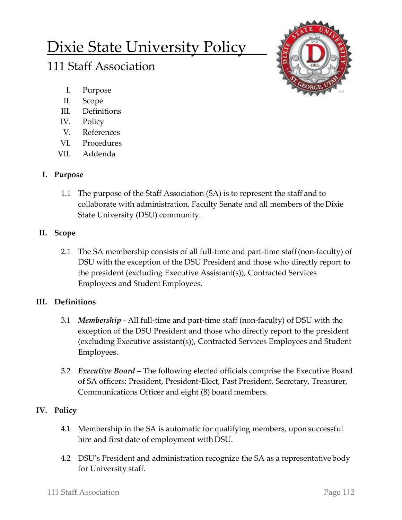# Dixie State University Policy

# 111 Staff Association



- I. Purpose
- II. Scope
- III. Definitions
- IV. Policy
- V. References
- VI. Procedures
- VII. Addenda

# **I. Purpose**

1.1 The purpose of the Staff Association (SA) is to represent the staff and to collaborate with administration, Faculty Senate and all members of the Dixie State University (DSU) community.

### **II. Scope**

2.1 The SA membership consists of all full-time and part-time staff(non-faculty) of DSU with the exception of the DSU President and those who directly report to the president (excluding Executive Assistant(s)), Contracted Services Employees and Student Employees.

#### **III. Definitions**

- 3.1 *Membership* All full-time and part-time staff (non-faculty) of DSU with the exception of the DSU President and those who directly report to the president (excluding Executive assistant(s)), Contracted Services Employees and Student Employees.
- 3.2 *Executive Board* The following elected officials comprise the Executive Board of SA officers: President, President-Elect, Past President, Secretary, Treasurer, Communications Officer and eight (8) board members.

# **IV. Policy**

- 4.1 Membership in the SA is automatic for qualifying members, upon successful hire and first date of employment with DSU.
- 4.2 DSU's President and administration recognize the SA as a representative body for University staff.